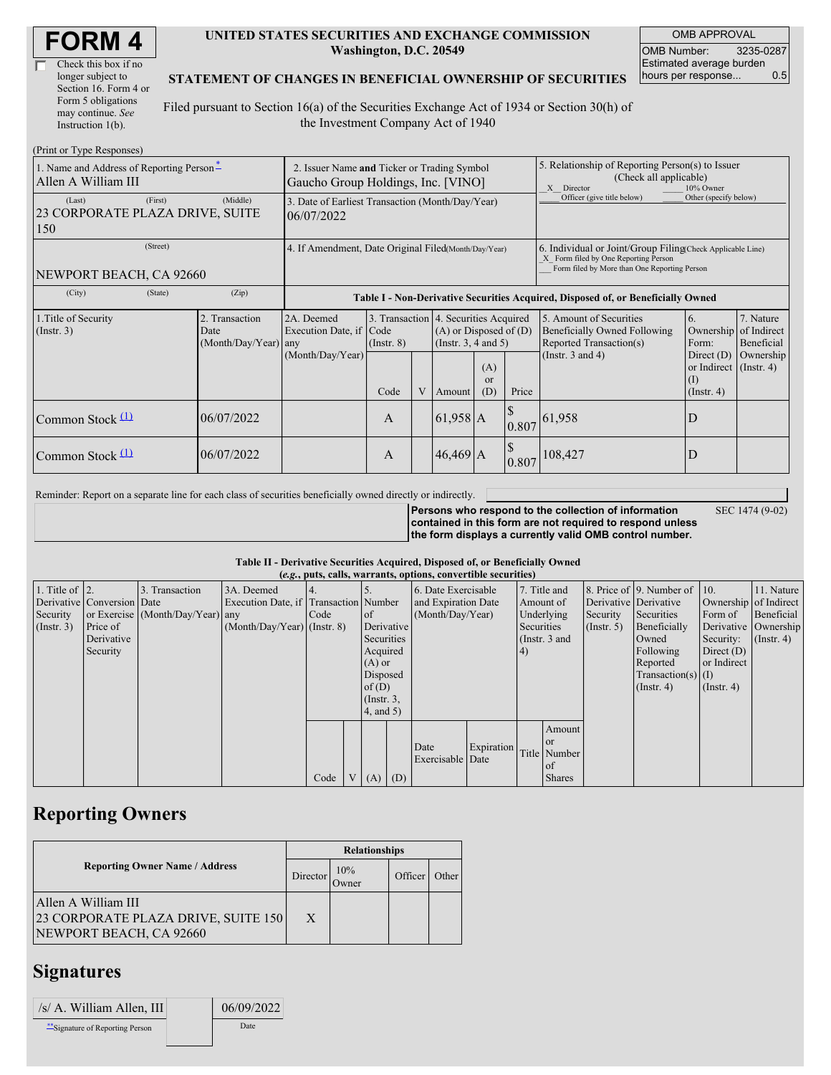| <b>FORM4</b> |
|--------------|
|--------------|

| Check this box if no  |
|-----------------------|
| longer subject to     |
| Section 16. Form 4 or |
| Form 5 obligations    |
| may continue. See     |
| Instruction $1(b)$ .  |

#### **UNITED STATES SECURITIES AND EXCHANGE COMMISSION Washington, D.C. 20549**

OMB APPROVAL OMB Number: 3235-0287 Estimated average burden hours per response... 0.5

### **STATEMENT OF CHANGES IN BENEFICIAL OWNERSHIP OF SECURITIES**

Filed pursuant to Section 16(a) of the Securities Exchange Act of 1934 or Section 30(h) of the Investment Company Act of 1940

| (Print or Type Responses)                                       |                                                                                   |                                                           |                          |   |            |                                                                                                                                                    |                                                                                                       |                                                                                                                    |                                                                                                              |                                      |
|-----------------------------------------------------------------|-----------------------------------------------------------------------------------|-----------------------------------------------------------|--------------------------|---|------------|----------------------------------------------------------------------------------------------------------------------------------------------------|-------------------------------------------------------------------------------------------------------|--------------------------------------------------------------------------------------------------------------------|--------------------------------------------------------------------------------------------------------------|--------------------------------------|
| 1. Name and Address of Reporting Person-<br>Allen A William III | 2. Issuer Name and Ticker or Trading Symbol<br>Gaucho Group Holdings, Inc. [VINO] |                                                           |                          |   |            |                                                                                                                                                    | 5. Relationship of Reporting Person(s) to Issuer<br>(Check all applicable)<br>X Director<br>10% Owner |                                                                                                                    |                                                                                                              |                                      |
| (First)<br>(Last)<br>23 CORPORATE PLAZA DRIVE, SUITE<br>150     | (Middle)<br>3. Date of Earliest Transaction (Month/Day/Year)<br>06/07/2022        |                                                           |                          |   |            |                                                                                                                                                    | Officer (give title below)                                                                            | Other (specify below)                                                                                              |                                                                                                              |                                      |
| (Street)<br>NEWPORT BEACH, CA 92660                             | 4. If Amendment, Date Original Filed(Month/Day/Year)                              |                                                           |                          |   |            | 6. Individual or Joint/Group Filing Check Applicable Line)<br>X Form filed by One Reporting Person<br>Form filed by More than One Reporting Person |                                                                                                       |                                                                                                                    |                                                                                                              |                                      |
| (City)                                                          | (State)<br>(Zip)                                                                  |                                                           |                          |   |            |                                                                                                                                                    | Table I - Non-Derivative Securities Acquired, Disposed of, or Beneficially Owned                      |                                                                                                                    |                                                                                                              |                                      |
| 1. Title of Security<br>(Insert. 3)                             | 2. Transaction<br>Date<br>$(Month/Day/Year)$ any                                  | 2A. Deemed<br>Execution Date, if Code<br>(Month/Day/Year) | $($ Instr. 8 $)$<br>Code | V | Amount     | 3. Transaction 4. Securities Acquired<br>$(A)$ or Disposed of $(D)$<br>(Instr. $3, 4$ and $5$ )<br>(A)<br><sub>or</sub><br>(D)<br>Price            |                                                                                                       | 5. Amount of Securities<br><b>Beneficially Owned Following</b><br>Reported Transaction(s)<br>(Instr. $3$ and $4$ ) | 6.<br>Ownership of Indirect<br>Form:<br>Direct $(D)$<br>or Indirect $($ Instr. 4)<br>(I)<br>$($ Instr. 4 $)$ | 7. Nature<br>Beneficial<br>Ownership |
| Common Stock $(1)$                                              | 06/07/2022                                                                        |                                                           | $\mathsf{A}$             |   | $61,958$ A |                                                                                                                                                    |                                                                                                       | $\left  0.807 \right $ 61,958                                                                                      | D                                                                                                            |                                      |
| Common Stock $(1)$                                              | 06/07/2022                                                                        |                                                           | $\mathsf{A}$             |   | 46,469 A   |                                                                                                                                                    | 0.807                                                                                                 | 108,427                                                                                                            | D                                                                                                            |                                      |

Reminder: Report on a separate line for each class of securities beneficially owned directly or indirectly.

SEC 1474 (9-02)

**Persons who respond to the collection of information contained in this form are not required to respond unless the form displays a currently valid OMB control number.**

#### **Table II - Derivative Securities Acquired, Disposed of, or Beneficially Owned**

| (e.g., puts, calls, warrants, options, convertible securities) |                            |                                  |                                       |      |  |                 |  |                     |            |            |                 |                       |                                              |                  |                       |
|----------------------------------------------------------------|----------------------------|----------------------------------|---------------------------------------|------|--|-----------------|--|---------------------|------------|------------|-----------------|-----------------------|----------------------------------------------|------------------|-----------------------|
| 1. Title of $\vert$ 2.                                         |                            | 3. Transaction                   | 3A. Deemed                            |      |  |                 |  | 6. Date Exercisable |            |            | 7. Title and    |                       | 8. Price of $\vert$ 9. Number of $\vert$ 10. |                  | 11. Nature            |
|                                                                | Derivative Conversion Date |                                  | Execution Date, if Transaction Number |      |  |                 |  | and Expiration Date |            | Amount of  |                 | Derivative Derivative |                                              |                  | Ownership of Indirect |
| Security                                                       |                            | or Exercise (Month/Day/Year) any |                                       | Code |  | <sub>of</sub>   |  | (Month/Day/Year)    |            |            | Underlying      | Security              | Securities                                   | Form of          | Beneficial            |
| (Insert. 3)                                                    | Price of                   |                                  | $(Month/Day/Year)$ (Instr. 8)         |      |  | Derivative      |  |                     |            | Securities |                 | $($ Instr. 5)         | Beneficially                                 |                  | Derivative Ownership  |
|                                                                | Derivative                 |                                  |                                       |      |  | Securities      |  |                     |            |            | (Instr. $3$ and |                       | Owned                                        | Security:        | $($ Instr. 4 $)$      |
|                                                                | Security                   |                                  |                                       |      |  | Acquired        |  |                     |            | $\vert 4)$ |                 |                       | Following                                    | Direct $(D)$     |                       |
|                                                                |                            |                                  |                                       |      |  | $(A)$ or        |  |                     |            |            |                 |                       | Reported                                     | or Indirect      |                       |
|                                                                |                            |                                  |                                       |      |  | Disposed        |  |                     |            |            |                 |                       | $Transaction(s)$ (I)                         |                  |                       |
|                                                                |                            |                                  |                                       |      |  | of(D)           |  |                     |            |            |                 |                       | $($ Instr. 4 $)$                             | $($ Instr. 4 $)$ |                       |
|                                                                |                            |                                  |                                       |      |  | $($ Instr. $3,$ |  |                     |            |            |                 |                       |                                              |                  |                       |
|                                                                |                            |                                  |                                       |      |  | 4, and 5)       |  |                     |            |            |                 |                       |                                              |                  |                       |
|                                                                |                            |                                  |                                       |      |  |                 |  |                     |            |            | Amount          |                       |                                              |                  |                       |
|                                                                |                            |                                  |                                       |      |  |                 |  | Date                | Expiration |            | <b>or</b>       |                       |                                              |                  |                       |
|                                                                |                            |                                  |                                       |      |  |                 |  | Exercisable Date    |            |            | Title Number    |                       |                                              |                  |                       |
|                                                                |                            |                                  |                                       |      |  |                 |  |                     |            |            | of              |                       |                                              |                  |                       |
|                                                                |                            |                                  |                                       | Code |  | $V(A)$ (D)      |  |                     |            |            | <b>Shares</b>   |                       |                                              |                  |                       |

### **Reporting Owners**

|                                       |          | <b>Relationships</b> |         |       |  |  |
|---------------------------------------|----------|----------------------|---------|-------|--|--|
| <b>Reporting Owner Name / Address</b> | Director | 10%<br>Jwner         | Officer | Other |  |  |
| Allen A William III                   |          |                      |         |       |  |  |
| 23 CORPORATE PLAZA DRIVE, SUITE 150   | X        |                      |         |       |  |  |
| NEWPORT BEACH, CA 92660               |          |                      |         |       |  |  |

## **Signatures**

| /s/ A. William Allen, III        | 06/09/2022 |
|----------------------------------|------------|
| ** Signature of Reporting Person | Date       |